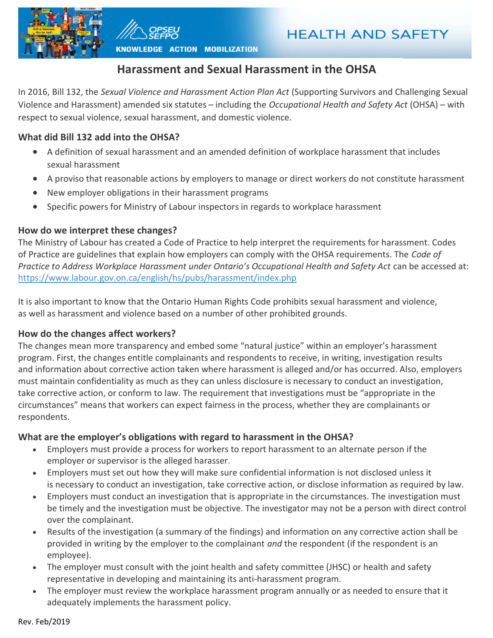



KNOWLEDGE ACTION MOBILIZATION

# Harassment and Sexual Harassment in the OHSA

In 2016, Bill 132, the Sexual Violence and Harassment Action Plan Act (Supporting Survivors and Challenging Sexual Violence and Harassment) amended six statutes – including the Occupational Health and Safety Act (OHSA) – with respect to sexual violence, sexual harassment, and domestic violence.

## What did Bill 132 add into the OHSA?

- A definition of sexual harassment and an amended definition of workplace harassment that includes sexual harassment
- A proviso that reasonable actions by employers to manage or direct workers do not constitute harassment
- New employer obligations in their harassment programs
- Specific powers for Ministry of Labour inspectors in regards to workplace harassment

### How do we interpret these changes?

The Ministry of Labour has created a Code of Practice to help interpret the requirements for harassment. Codes of Practice are guidelines that explain how employers can comply with the OHSA requirements. The Code of Practice to Address Workplace Harassment under Ontario's Occupational Health and Safety Act can be accessed at: https://www.labour.gov.on.ca/english/hs/pubs/harassment/index.php

It is also important to know that the Ontario Human Rights Code prohibits sexual harassment and violence, as well as harassment and violence based on a number of other prohibited grounds.

### How do the changes affect workers?

The changes mean more transparency and embed some "natural justice" within an employer's harassment program. First, the changes entitle complainants and respondents to receive, in writing, investigation results and information about corrective action taken where harassment is alleged and/or has occurred. Also, employers must maintain confidentiality as much as they can unless disclosure is necessary to conduct an investigation, take corrective action, or conform to law. The requirement that investigations must be "appropriate in the circumstances" means that workers can expect fairness in the process, whether they are complainants or respondents.

### What are the employer's obligations with regard to harassment in the OHSA?

- Employers must provide a process for workers to report harassment to an alternate person if the employer or supervisor is the alleged harasser.
- Employers must set out how they will make sure confidential information is not disclosed unless it is necessary to conduct an investigation, take corrective action, or disclose information as required by law.
- Employers must conduct an investigation that is appropriate in the circumstances. The investigation must be timely and the investigation must be objective. The investigator may not be a person with direct control over the complainant.
- Results of the investigation (a summary of the findings) and information on any corrective action shall be provided in writing by the employer to the complainant *and* the respondent (if the respondent is an employee).
- The employer must consult with the joint health and safety committee (JHSC) or health and safety representative in developing and maintaining its anti-harassment program.
- The employer must review the workplace harassment program annually or as needed to ensure that it adequately implements the harassment policy.